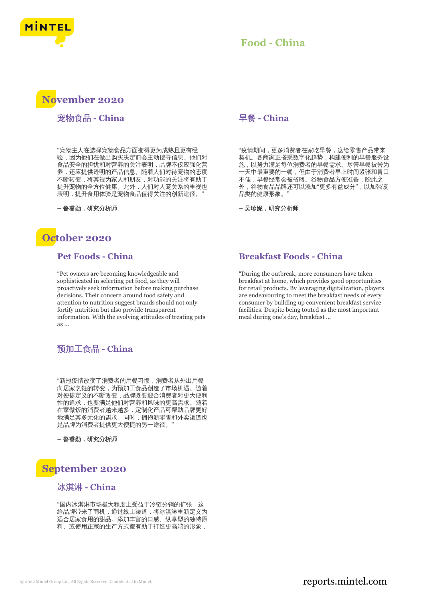

## **Food - China**

# **November 2020**

宠物食品 **- China**

"宠物主人在选择宠物食品方面变得更为成熟且更有经 验,因为他们在做出购买决定前会主动搜寻信息。他们对 食品安全的担忧和对营养的关注表明,品牌不仅应强化营 养,还应提供透明的产品信息。随着人们对待宠物的态度 不断转变,将其视为家人和朋友,对功能的关注将有助于 提升宠物的全方位健康。此外,人们对人宠关系的重视也 表明,提升食用体验是宠物食品值得关注的创新途径。

**–** 鲁睿勋,研究分析师

# **October 2020**

#### **Pet Foods - China**

"Pet owners are becoming knowledgeable and sophisticated in selecting pet food, as they will proactively seek information before making purchase decisions. Their concern around food safety and attention to nutrition suggest brands should not only fortify nutrition but also provide transparent information. With the evolving attitudes of treating pets as ...

## 预加工食品 **- China**

"新冠疫情改变了消费者的用餐习惯,消费者从外出用餐 向居家烹饪的转变,为预加工食品创造了市场机遇。随着 对便捷定义的不断改变,品牌既要迎合消费者对更大便利 性的追求,也要满足他们对营养和风味的更高需求。随着 在家做饭的消费者越来越多,定制化产品可帮助品牌更好 地满足其多元化的需求。同时,拥抱新零售和外卖渠道也 是品牌为消费者提供更大便捷的另一途径。"

**–** 鲁睿勋,研究分析师



# 冰淇淋 **- China**

"国内冰淇淋市场极大程度上受益于冷链分销的扩张,这 给品牌带来了商机,通过线上渠道,将冰淇淋重新定义为 适合居家食用的甜品。添加丰富的口感、纵享型的独特原 料、或使用正宗的生产方式都有助于打造更高端的形象,

#### 早餐 **- China**

"疫情期间,更多消费者在家吃早餐,这给零售产品带来 契机。各商家正搭乘数字化趋势,构建便利的早餐服务设 施,以努力满足每位消费者的早餐需求。尽管早餐被誉为 一天中最重要的一餐,但由于消费者早上时间紧张和胃口 不佳,早餐经常会被省略。谷物食品方便准备,除此之 外,谷物食品品牌还可以添加"更多有益成分",以加强该 品类的健康形象。"

**–** 吴珍妮,研究分析师

#### **Breakfast Foods - China**

"During the outbreak, more consumers have taken breakfast at home, which provides good opportunities for retail products. By leveraging digitalization, players are endeavouring to meet the breakfast needs of every consumer by building up convenient breakfast service facilities. Despite being touted as the most important meal during one's day, breakfast ...